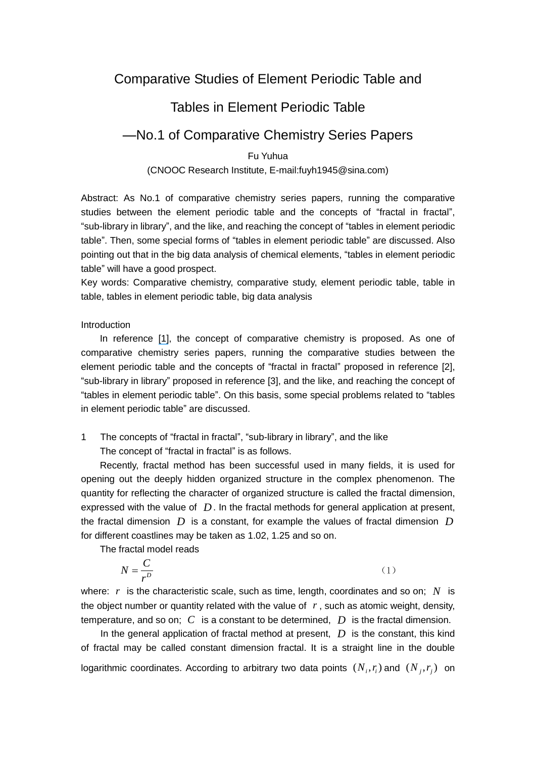# Comparative Studies of Element Periodic Table and

## Tables in Element Periodic Table

### —No.1 of Comparative Chemistry Series Papers

### Fu Yuhua (CNOOC Research Institute, E-mail:fuyh1945@sina.com)

Abstract: As No.1 of comparative chemistry series papers, running the comparative studies between the element periodic table and the concepts of "fractal in fractal", "sub-library in library", and the like, and reaching the concept of "tables in element periodic table". Then, some special forms of "tables in element periodic table" are discussed. Also pointing out that in the big data analysis of chemical elements, "tables in element periodic table" will have a good prospect.

Key words: Comparative chemistry, comparative study, element periodic table, table in table, tables in element periodic table, big data analysis

#### Introduction

In reference [\[1\]](https://www.researchgate.net/publication/305114296_Expanding_Comparative_Literature_into_Comparative_Sciences_Clusters_with_Neutrosophy_and_Quad-stage_Method?el=1_x_8&enrichId=rgreq-f0c22e541b4f44c4ea99ff6922c3c3b7-XXX&enrichSource=Y292ZXJQYWdlOzMwODYxMDA2MTtBUzo0MTA0MDIwOTQ2MzI5NjRAMTQ3NDg1ODg5MjU3MQ==), the concept of comparative chemistry is proposed. As one of comparative chemistry series papers, running the comparative studies between the element periodic table and the concepts of "fractal in fractal" proposed in reference [2], "sub-library in library" proposed in reference [3], and the like, and reaching the concept of "tables in element periodic table". On this basis, some special problems related to "tables in element periodic table" are discussed.

1 The concepts of "fractal in fractal", "sub-library in library", and the like The concept of "fractal in fractal" is as follows.

Recently, fractal method has been successful used in many fields, it is used for opening out the deeply hidden organized structure in the complex phenomenon. The quantity for reflecting the character of organized structure is called the fractal dimension, expressed with the value of D. In the fractal methods for general application at present, the fractal dimension  $\overline{D}$  is a constant, for example the values of fractal dimension  $\overline{D}$ for different coastlines may be taken as 1.02, 1.25 and so on.

The fractal model reads

$$
N = \frac{C}{r^D} \tag{1}
$$

where:  $r$  is the characteristic scale, such as time, length, coordinates and so on;  $N$  is the object number or quantity related with the value of  $r$ , such as atomic weight, density, temperature, and so on;  $C$  is a constant to be determined,  $D$  is the fractal dimension.

In the general application of fractal method at present,  $D$  is the constant, this kind of fractal may be called constant dimension fractal. It is a straight line in the double logarithmic coordinates. According to arbitrary two data points  $(N_i, r_i)$  and  $(N_j, r_j)$  on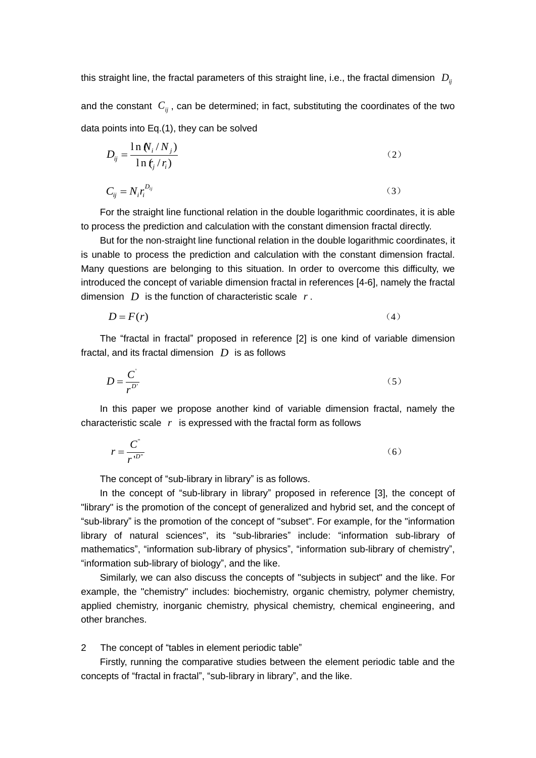this straight line, the fractal parameters of this straight line, i.e., the fractal dimension  $\, D_{ij}^{}$ and the constant  $C_{ij}$ , can be determined; in fact, substituting the coordinates of the two data points into Eq.(1), they can be solved

$$
D_{ij} = \frac{\ln \mathcal{N}_i / N_j}{\ln \mathcal{K}_j / r_i} \tag{2}
$$

$$
C_{ij} = N_i r_i^{D_{ij}} \tag{3}
$$

For the straight line functional relation in the double logarithmic coordinates, it is able to process the prediction and calculation with the constant dimension fractal directly.

But for the non-straight line functional relation in the double logarithmic coordinates, it is unable to process the prediction and calculation with the constant dimension fractal. Many questions are belonging to this situation. In order to overcome this difficulty, we introduced the concept of variable dimension fractal in references [4-6], namely the fractal dimension  $D$  is the function of characteristic scale  $r$ .

$$
D = F(r) \tag{4}
$$

The "fractal in fractal" proposed in reference [2] is one kind of variable dimension fractal, and its fractal dimension *D* is as follows

$$
D = \frac{C'}{r^{D'}}
$$
 (5)

In this paper we propose another kind of variable dimension fractal, namely the characteristic scale *r* is expressed with the fractal form as follows

$$
r = \frac{C^{''}}{r^{D''}}
$$
 (6)

The concept of "sub-library in library" is as follows.

In the concept of "sub-library in library" proposed in reference [3], the concept of "library" is the promotion of the concept of generalized and hybrid set, and the concept of "sub-library" is the promotion of the concept of "subset". For example, for the "information library of natural sciences", its "sub-libraries" include: "information sub-library of mathematics", "information sub-library of physics", "information sub-library of chemistry", "information sub-library of biology", and the like.

Similarly, we can also discuss the concepts of "subjects in subject" and the like. For example, the "chemistry" includes: biochemistry, organic chemistry, polymer chemistry, applied chemistry, inorganic chemistry, physical chemistry, chemical engineering, and other branches.

2 The concept of "tables in element periodic table"

Firstly, running the comparative studies between the element periodic table and the concepts of "fractal in fractal", "sub-library in library", and the like.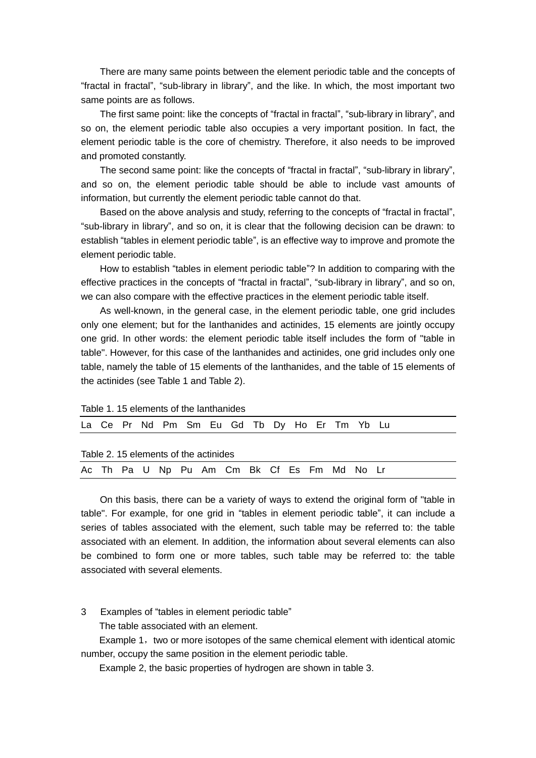There are many same points between the element periodic table and the concepts of "fractal in fractal", "sub-library in library", and the like. In which, the most important two same points are as follows.

The first same point: like the concepts of "fractal in fractal", "sub-library in library", and so on, the element periodic table also occupies a very important position. In fact, the element periodic table is the core of chemistry. Therefore, it also needs to be improved and promoted constantly.

The second same point: like the concepts of "fractal in fractal", "sub-library in library", and so on, the element periodic table should be able to include vast amounts of information, but currently the element periodic table cannot do that.

Based on the above analysis and study, referring to the concepts of "fractal in fractal", "sub-library in library", and so on, it is clear that the following decision can be drawn: to establish "tables in element periodic table", is an effective way to improve and promote the element periodic table.

How to establish "tables in element periodic table"? In addition to comparing with the effective practices in the concepts of "fractal in fractal", "sub-library in library", and so on, we can also compare with the effective practices in the element periodic table itself.

As well-known, in the general case, in the element periodic table, one grid includes only one element; but for the lanthanides and actinides, 15 elements are jointly occupy one grid. In other words: the element periodic table itself includes the form of "table in table". However, for this case of the lanthanides and actinides, one grid includes only one table, namely the table of 15 elements of the lanthanides, and the table of 15 elements of the actinides (see Table 1 and Table 2).

Table 1. 15 elements of the lanthanides

|                                       |  |  |  |  |  | La Ce Pr Nd Pm Sm Eu Gd Tb Dy Ho Er Tm Yb Lu |  |  |  |  |  |  |
|---------------------------------------|--|--|--|--|--|----------------------------------------------|--|--|--|--|--|--|
| Table 2. 15 elements of the actinides |  |  |  |  |  |                                              |  |  |  |  |  |  |
|                                       |  |  |  |  |  |                                              |  |  |  |  |  |  |
|                                       |  |  |  |  |  | Ac Th Pa U Np Pu Am Cm Bk Cf Es Fm Md No Lr  |  |  |  |  |  |  |

On this basis, there can be a variety of ways to extend the original form of "table in table". For example, for one grid in "tables in element periodic table", it can include a series of tables associated with the element, such table may be referred to: the table associated with an element. In addition, the information about several elements can also be combined to form one or more tables, such table may be referred to: the table associated with several elements.

3 Examples of "tables in element periodic table"

The table associated with an element.

Example 1, two or more isotopes of the same chemical element with identical atomic number, occupy the same position in the element periodic table.

Example 2, the basic properties of hydrogen are shown in table 3.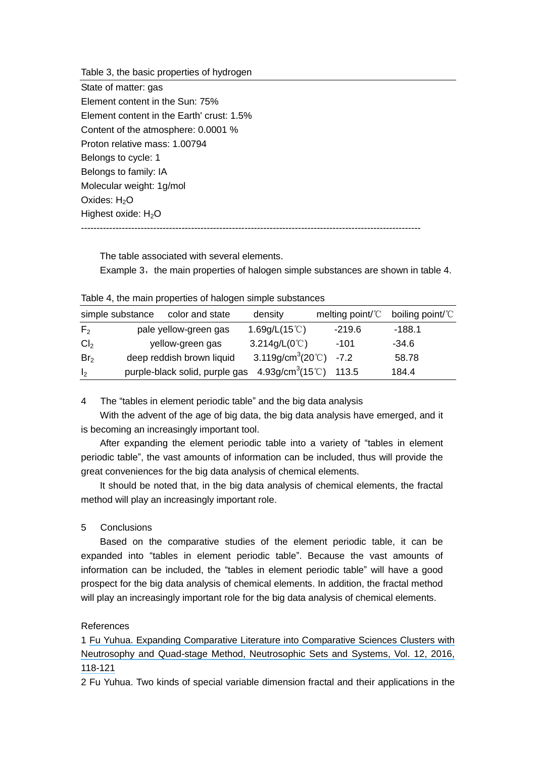Table 3, the basic properties of hydrogen

| State of matter: gas                      |
|-------------------------------------------|
| Element content in the Sun: 75%           |
| Element content in the Earth' crust: 1.5% |
| Content of the atmosphere: 0.0001 %       |
| Proton relative mass: 1.00794             |
| Belongs to cycle: 1                       |
| Belongs to family: IA                     |
| Molecular weight: 1g/mol                  |
| Oxides: $H2O$                             |
| Highest oxide: $H_2O$                     |
|                                           |

The table associated with several elements.

Example 3, the main properties of halogen simple substances are shown in table 4.

Table 4, the main properties of halogen simple substances

| simple substance | color and state                | density                                       | melting point/ ${}^{\circ}\mathrm{C}$ boiling point/ ${}^{\circ}\mathrm{C}$ |         |
|------------------|--------------------------------|-----------------------------------------------|-----------------------------------------------------------------------------|---------|
| F <sub>2</sub>   | pale yellow-green gas          | 1.69g/L $(15^{\circ}$ C)                      | $-219.6$                                                                    | -188.1  |
| Cl <sub>2</sub>  | yellow-green gas               | 3.214g/L $(0^{\circ}C)$                       | -101                                                                        | $-34.6$ |
| Br <sub>2</sub>  | deep reddish brown liquid      | 3.119g/cm <sup>3</sup> (20 $^{\circ}$ C) -7.2 |                                                                             | 58.78   |
| I <sub>2</sub>   | purple-black solid, purple gas | 4.93g/cm <sup>3</sup> (15°C)                  | 113.5                                                                       | 184.4   |

4 The "tables in element periodic table" and the big data analysis

With the advent of the age of big data, the big data analysis have emerged, and it is becoming an increasingly important tool.

After expanding the element periodic table into a variety of "tables in element periodic table", the vast amounts of information can be included, thus will provide the great conveniences for the big data analysis of chemical elements.

It should be noted that, in the big data analysis of chemical elements, the fractal method will play an increasingly important role.

### 5 Conclusions

Based on the comparative studies of the element periodic table, it can be expanded into "tables in element periodic table". Because the vast amounts of information can be included, the "tables in element periodic table" will have a good prospect for the big data analysis of chemical elements. In addition, the fractal method will play an increasingly important role for the big data analysis of chemical elements.

### References

1 [Fu Yuhua. Expanding Comparative Literature into Comparative Sciences Clusters with](https://www.researchgate.net/publication/305114296_Expanding_Comparative_Literature_into_Comparative_Sciences_Clusters_with_Neutrosophy_and_Quad-stage_Method?el=1_x_8&enrichId=rgreq-f0c22e541b4f44c4ea99ff6922c3c3b7-XXX&enrichSource=Y292ZXJQYWdlOzMwODYxMDA2MTtBUzo0MTA0MDIwOTQ2MzI5NjRAMTQ3NDg1ODg5MjU3MQ==) [Neutrosophy and Quad-stage Method, Neutrosophic Sets and Systems, Vol. 12, 2016,](https://www.researchgate.net/publication/305114296_Expanding_Comparative_Literature_into_Comparative_Sciences_Clusters_with_Neutrosophy_and_Quad-stage_Method?el=1_x_8&enrichId=rgreq-f0c22e541b4f44c4ea99ff6922c3c3b7-XXX&enrichSource=Y292ZXJQYWdlOzMwODYxMDA2MTtBUzo0MTA0MDIwOTQ2MzI5NjRAMTQ3NDg1ODg5MjU3MQ==) [118-121](https://www.researchgate.net/publication/305114296_Expanding_Comparative_Literature_into_Comparative_Sciences_Clusters_with_Neutrosophy_and_Quad-stage_Method?el=1_x_8&enrichId=rgreq-f0c22e541b4f44c4ea99ff6922c3c3b7-XXX&enrichSource=Y292ZXJQYWdlOzMwODYxMDA2MTtBUzo0MTA0MDIwOTQ2MzI5NjRAMTQ3NDg1ODg5MjU3MQ==)

2 Fu Yuhua. Two kinds of special variable dimension fractal and their applications in the